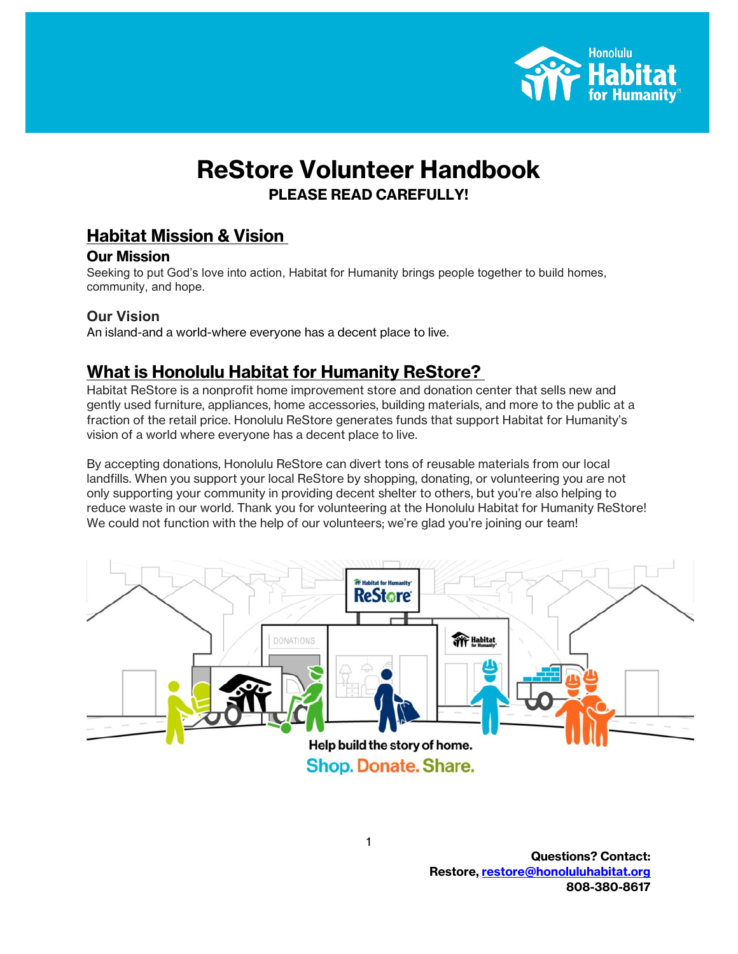

# **ReStore Volunteer Handbook PLEASE READ CAREFULLY!**

## **Habitat Mission & Vision**

## **Our Mission**

Seeking to put God's love into action, Habitat for Humanity brings people together to build homes, community, and hope.

## **Our Vision**

An island-and a world-where everyone has a decent place to live.

## **What is Honolulu Habitat for Humanity ReStore?**

Habitat ReStore is a nonprofit home improvement store and donation center that sells new and gently used furniture, appliances, home accessories, building materials, and more to the public at a fraction of the retail price. Honolulu ReStore generates funds that support Habitat for Humanity's vision of a world where everyone has a decent place to live.

By accepting donations, Honolulu ReStore can divert tons of reusable materials from our local landfills. When you support your local ReStore by shopping, donating, or volunteering you are not only supporting your community in providing decent shelter to others, but you're also helping to reduce waste in our world. Thank you for volunteering at the Honolulu Habitat for Humanity ReStore! We could not function with the help of our volunteers; we're glad you're joining our team!



**Questions? Contact: Restore, [restore@honoluluhabitat.org](mailto:restore@honoluluhabitat.org) 808-380-8617**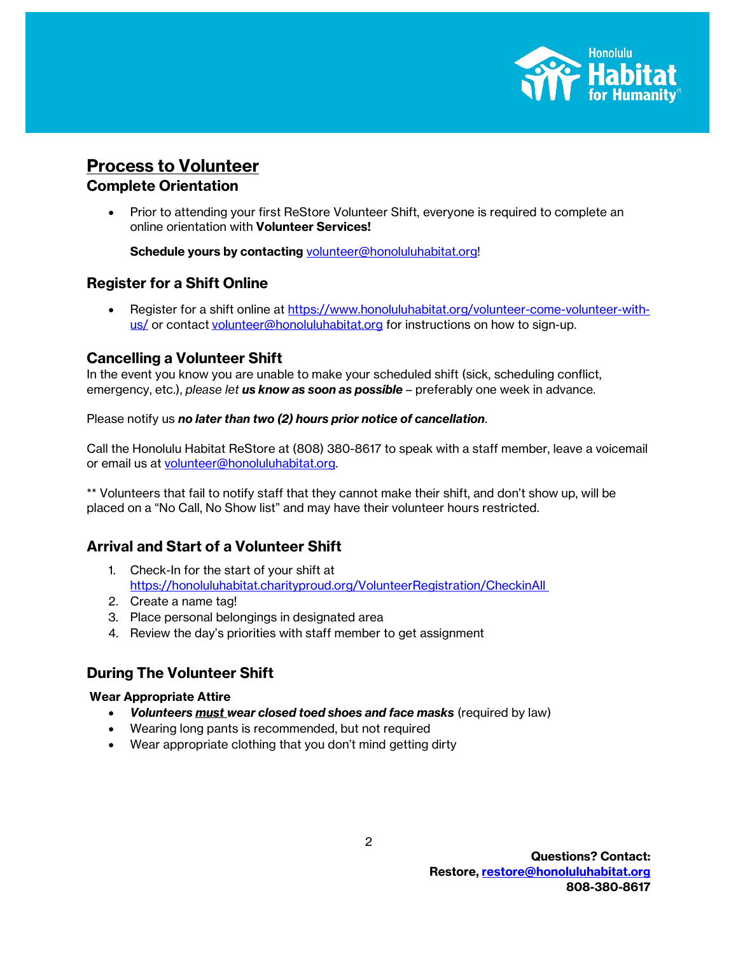

## **Process to Volunteer**

## **Complete Orientation**

• Prior to attending your first ReStore Volunteer Shift, everyone is required to complete an online orientation with **Volunteer Services!**

Schedule yours by contacting [volunteer@honoluluhabitat.org!](mailto:volunteer@honoluluhabitat.org)

## **Register for a Shift Online**

• Register for a shift online at [https://www.honoluluhabitat.org/volunteer-come-volunteer-with](https://www.honoluluhabitat.org/volunteer-come-volunteer-with-us/)[us/](https://www.honoluluhabitat.org/volunteer-come-volunteer-with-us/) or contact [volunteer@honoluluhabitat.org](mailto:volunteer@honoluluhabitat.org) for instructions on how to sign-up.

## **Cancelling a Volunteer Shift**

In the event you know you are unable to make your scheduled shift (sick, scheduling conflict, emergency, etc.), *please let us know as soon as possible* – preferably one week in advance.

Please notify us *no later than two (2) hours prior notice of cancellation*.

Call the Honolulu Habitat ReStore at (808) 380-8617 to speak with a staff member, leave a voicemail or email us at [volunteer@honoluluhabitat.org.](mailto:volunteer@honoluluhabitat.org) 

\*\* Volunteers that fail to notify staff that they cannot make their shift, and don't show up, will be placed on a "No Call, No Show list" and may have their volunteer hours restricted.

## **Arrival and Start of a Volunteer Shift**

- 1. Check-In for the start of your shift at <https://honoluluhabitat.charityproud.org/VolunteerRegistration/CheckinAll>
- 2. Create a name tag!
- 3. Place personal belongings in designated area
- 4. Review the day's priorities with staff member to get assignment

## **During The Volunteer Shift**

#### **Wear Appropriate Attire**

- *Volunteers must wear closed toed shoes and face masks* (required by law)
- Wearing long pants is recommended, but not required
- Wear appropriate clothing that you don't mind getting dirty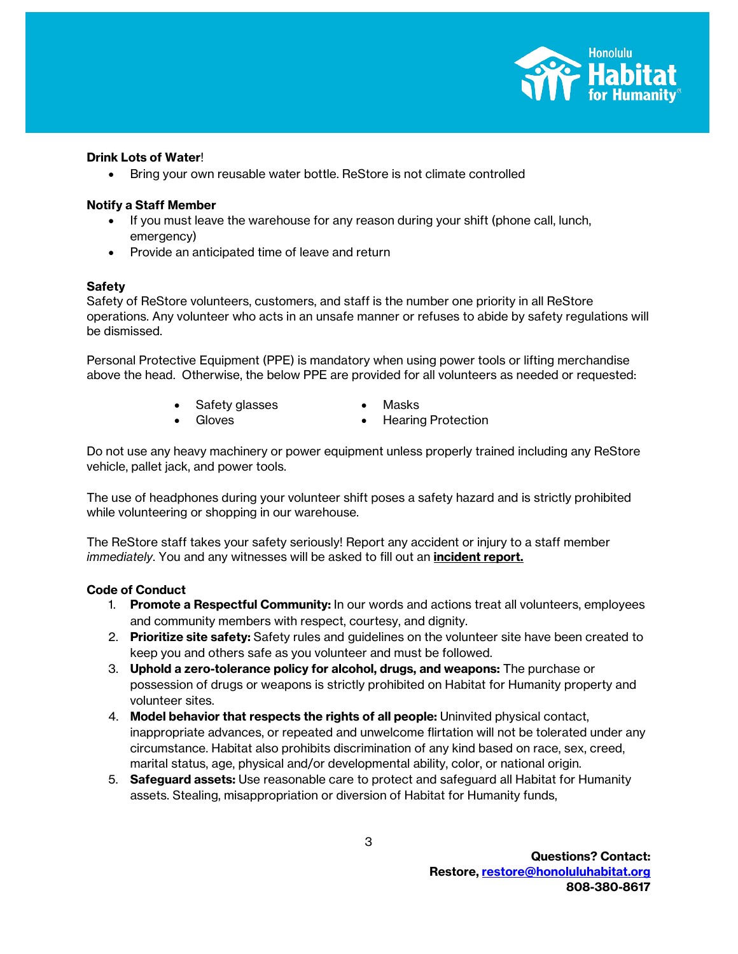

#### **Drink Lots of Water**!

• Bring your own reusable water bottle. ReStore is not climate controlled

#### **Notify a Staff Member**

- If you must leave the warehouse for any reason during your shift (phone call, lunch, emergency)
- Provide an anticipated time of leave and return

#### **Safety**

Safety of ReStore volunteers, customers, and staff is the number one priority in all ReStore operations. Any volunteer who acts in an unsafe manner or refuses to abide by safety regulations will be dismissed.

Personal Protective Equipment (PPE) is mandatory when using power tools or lifting merchandise above the head. Otherwise, the below PPE are provided for all volunteers as needed or requested:

- Safety glasses Masks
- Gloves Hearing Protection

Do not use any heavy machinery or power equipment unless properly trained including any ReStore vehicle, pallet jack, and power tools.

The use of headphones during your volunteer shift poses a safety hazard and is strictly prohibited while volunteering or shopping in our warehouse.

The ReStore staff takes your safety seriously! Report any accident or injury to a staff member *immediately*. You and any witnesses will be asked to fill out an **incident report.**

#### **Code of Conduct**

- 1. **Promote a Respectful Community:** In our words and actions treat all volunteers, employees and community members with respect, courtesy, and dignity.
- 2. **Prioritize site safety:** Safety rules and guidelines on the volunteer site have been created to keep you and others safe as you volunteer and must be followed.
- 3. **Uphold a zero-tolerance policy for alcohol, drugs, and weapons:** The purchase or possession of drugs or weapons is strictly prohibited on Habitat for Humanity property and volunteer sites.
- 4. **Model behavior that respects the rights of all people:** Uninvited physical contact, inappropriate advances, or repeated and unwelcome flirtation will not be tolerated under any circumstance. Habitat also prohibits discrimination of any kind based on race, sex, creed, marital status, age, physical and/or developmental ability, color, or national origin.
- 5. **Safeguard assets:** Use reasonable care to protect and safeguard all Habitat for Humanity assets. Stealing, misappropriation or diversion of Habitat for Humanity funds,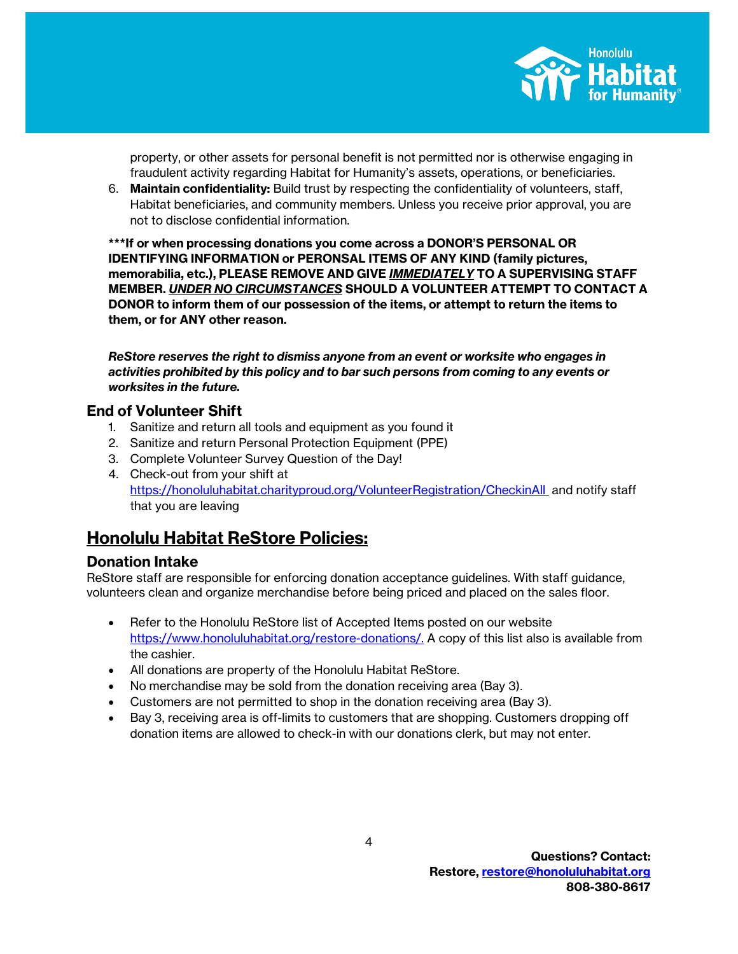

property, or other assets for personal benefit is not permitted nor is otherwise engaging in fraudulent activity regarding Habitat for Humanity's assets, operations, or beneficiaries.

6. **Maintain confidentiality:** Build trust by respecting the confidentiality of volunteers, staff, Habitat beneficiaries, and community members. Unless you receive prior approval, you are not to disclose confidential information.

**\*\*\*If or when processing donations you come across a DONOR'S PERSONAL OR IDENTIFYING INFORMATION or PERONSAL ITEMS OF ANY KIND (family pictures, memorabilia, etc.), PLEASE REMOVE AND GIVE** *IMMEDIATELY* **TO A SUPERVISING STAFF MEMBER.** *UNDER NO CIRCUMSTANCES* **SHOULD A VOLUNTEER ATTEMPT TO CONTACT A DONOR to inform them of our possession of the items, or attempt to return the items to them, or for ANY other reason.**

*ReStore reserves the right to dismiss anyone from an event or worksite who engages in activities prohibited by this policy and to bar such persons from coming to any events or worksites in the future.*

## **End of Volunteer Shift**

- 1. Sanitize and return all tools and equipment as you found it
- 2. Sanitize and return Personal Protection Equipment (PPE)
- 3. Complete Volunteer Survey Question of the Day!
- 4. Check-out from your shift at <https://honoluluhabitat.charityproud.org/VolunteerRegistration/CheckinAll>and notify staff that you are leaving

## **Honolulu Habitat ReStore Policies:**

## **Donation Intake**

ReStore staff are responsible for enforcing donation acceptance guidelines. With staff guidance, volunteers clean and organize merchandise before being priced and placed on the sales floor.

- Refer to the Honolulu ReStore list of Accepted Items posted on our website [https://www.honoluluhabitat.org/restore-donations/.](https://www.honoluluhabitat.org/restore-donations/) A copy of this list also is available from the cashier.
- All donations are property of the Honolulu Habitat ReStore.
- No merchandise may be sold from the donation receiving area (Bay 3).
- Customers are not permitted to shop in the donation receiving area (Bay 3).
- Bay 3, receiving area is off-limits to customers that are shopping. Customers dropping off donation items are allowed to check-in with our donations clerk, but may not enter.